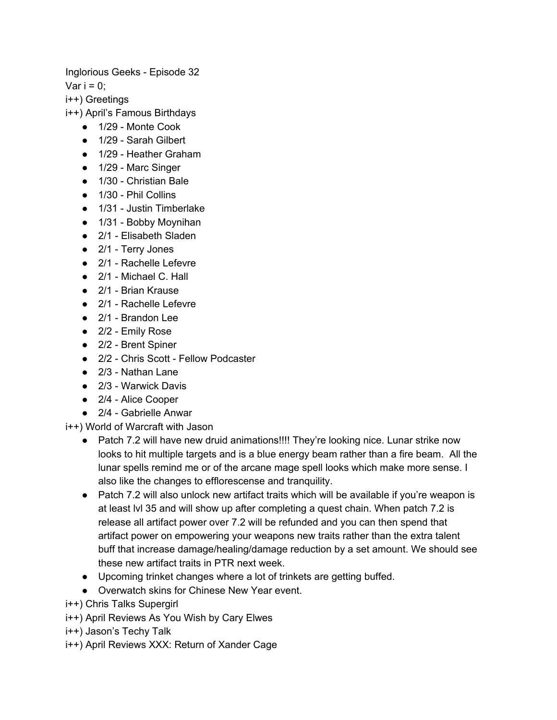Inglorious Geeks - Episode 32

Var  $i = 0$ ;

i++) Greetings

i++) April's Famous Birthdays

- 1/29 Monte Cook
- 1/29 Sarah Gilbert
- 1/29 Heather Graham
- 1/29 Marc Singer
- 1/30 Christian Bale
- 1/30 Phil Collins
- 1/31 Justin Timberlake
- 1/31 Bobby Moynihan
- 2/1 Elisabeth Sladen
- 2/1 Terry Jones
- 2/1 Rachelle Lefevre
- 2/1 Michael C. Hall
- 2/1 Brian Krause
- 2/1 Rachelle Lefevre
- 2/1 Brandon Lee
- 2/2 Emily Rose
- 2/2 Brent Spiner
- 2/2 Chris Scott Fellow Podcaster
- 2/3 Nathan Lane
- 2/3 Warwick Davis
- 2/4 Alice Cooper
- 2/4 Gabrielle Anwar

## i++) World of Warcraft with Jason

- Patch 7.2 will have new druid animations!!!! They're looking nice. Lunar strike now looks to hit multiple targets and is a blue energy beam rather than a fire beam. All the lunar spells remind me or of the arcane mage spell looks which make more sense. I also like the changes to efflorescense and tranquility.
- Patch 7.2 will also unlock new artifact traits which will be available if you're weapon is at least lvl 35 and will show up after completing a quest chain. When patch 7.2 is release all artifact power over 7.2 will be refunded and you can then spend that artifact power on empowering your weapons new traits rather than the extra talent buff that increase damage/healing/damage reduction by a set amount. We should see these new artifact traits in PTR next week.
- Upcoming trinket changes where a lot of trinkets are getting buffed.
- Overwatch skins for Chinese New Year event.
- i++) Chris Talks Supergirl
- i++) April Reviews As You Wish by Cary Elwes
- i++) Jason's Techy Talk
- i++) April Reviews XXX: Return of Xander Cage